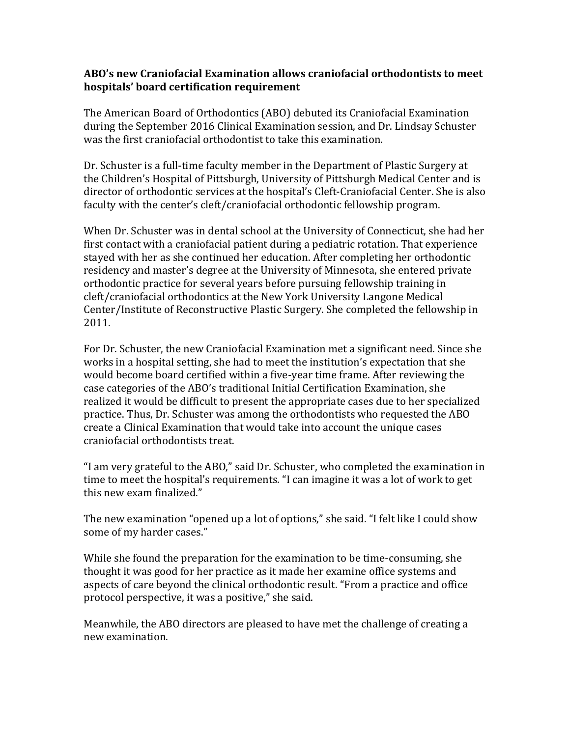## **ABO's new Craniofacial Examination allows craniofacial orthodontists to meet hospitals' board certification requirement**

The American Board of Orthodontics (ABO) debuted its Craniofacial Examination during the September 2016 Clinical Examination session, and Dr. Lindsay Schuster was the first craniofacial orthodontist to take this examination.

Dr. Schuster is a full-time faculty member in the Department of Plastic Surgery at the Children's Hospital of Pittsburgh, University of Pittsburgh Medical Center and is director of orthodontic services at the hospital's Cleft-Craniofacial Center. She is also faculty with the center's cleft/craniofacial orthodontic fellowship program.

When Dr. Schuster was in dental school at the University of Connecticut, she had her first contact with a craniofacial patient during a pediatric rotation. That experience stayed with her as she continued her education. After completing her orthodontic residency and master's degree at the University of Minnesota, she entered private orthodontic practice for several years before pursuing fellowship training in cleft/craniofacial orthodontics at the New York University Langone Medical Center/Institute of Reconstructive Plastic Surgery. She completed the fellowship in 2011.

For Dr. Schuster, the new Craniofacial Examination met a significant need. Since she works in a hospital setting, she had to meet the institution's expectation that she would become board certified within a five-year time frame. After reviewing the case categories of the ABO's traditional Initial Certification Examination, she realized it would be difficult to present the appropriate cases due to her specialized practice. Thus, Dr. Schuster was among the orthodontists who requested the ABO create a Clinical Examination that would take into account the unique cases craniofacial orthodontists treat.

"I am very grateful to the ABO," said Dr. Schuster, who completed the examination in time to meet the hospital's requirements. "I can imagine it was a lot of work to get this new exam finalized."

The new examination "opened up a lot of options," she said. "I felt like I could show some of my harder cases."

While she found the preparation for the examination to be time-consuming, she thought it was good for her practice as it made her examine office systems and aspects of care beyond the clinical orthodontic result. "From a practice and office protocol perspective, it was a positive," she said.

Meanwhile, the ABO directors are pleased to have met the challenge of creating a new examination.